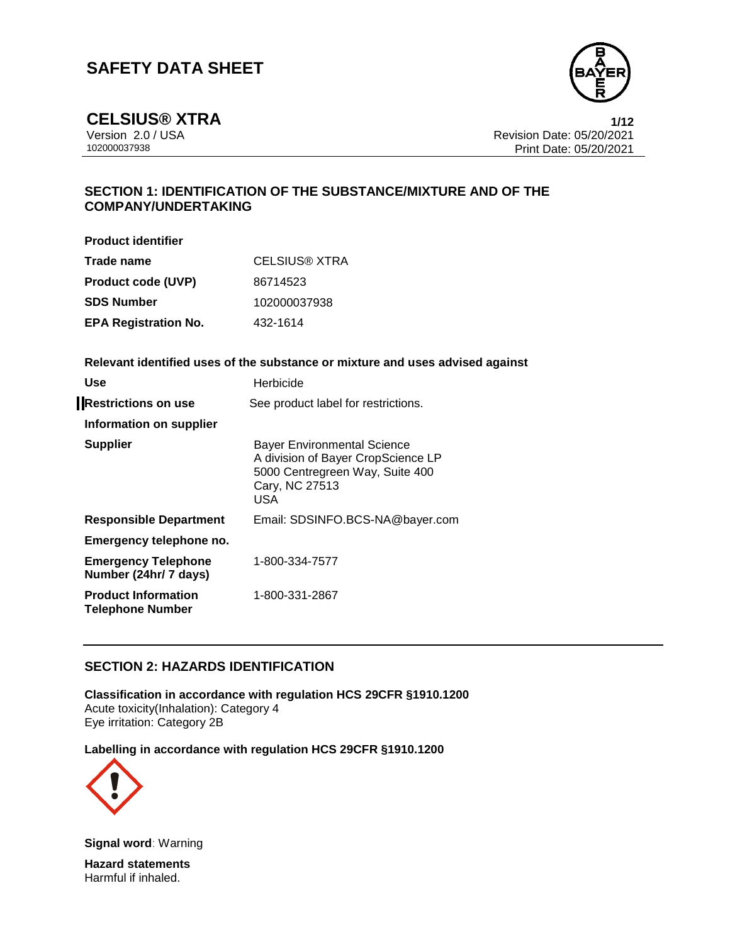

**CELSIUS®** XTRA 1/12<br>Version 2.0 / USA 1/12<br>Revision Date: 05/20/2021 Version 2.0 / USA Revision Date: 05/20/2021<br>102000037938 Print Date: 05/20/2021 Print Date: 05/20/2021

# **SECTION 1: IDENTIFICATION OF THE SUBSTANCE/MIXTURE AND OF THE COMPANY/UNDERTAKING**

**Product identifier**

| Trade name                  | CELSIUS® XTRA |
|-----------------------------|---------------|
| <b>Product code (UVP)</b>   | 86714523      |
| <b>SDS Number</b>           | 102000037938  |
| <b>EPA Registration No.</b> | 432-1614      |

**Relevant identified uses of the substance or mixture and uses advised against**

| Use                                                   | Herbicide                                                                                                                                   |
|-------------------------------------------------------|---------------------------------------------------------------------------------------------------------------------------------------------|
| <b>Restrictions on use</b>                            | See product label for restrictions.                                                                                                         |
| Information on supplier                               |                                                                                                                                             |
| <b>Supplier</b>                                       | <b>Bayer Environmental Science</b><br>A division of Bayer CropScience LP<br>5000 Centregreen Way, Suite 400<br>Cary, NC 27513<br><b>USA</b> |
| <b>Responsible Department</b>                         | Email: SDSINFO.BCS-NA@bayer.com                                                                                                             |
| Emergency telephone no.                               |                                                                                                                                             |
| <b>Emergency Telephone</b><br>Number (24hr/ 7 days)   | 1-800-334-7577                                                                                                                              |
| <b>Product Information</b><br><b>Telephone Number</b> | 1-800-331-2867                                                                                                                              |

# **SECTION 2: HAZARDS IDENTIFICATION**

**Classification in accordance with regulation HCS 29CFR §1910.1200** Acute toxicity(Inhalation): Category 4 Eye irritation: Category 2B

**Labelling in accordance with regulation HCS 29CFR §1910.1200**



**Signal word**: Warning

**Hazard statements** Harmful if inhaled.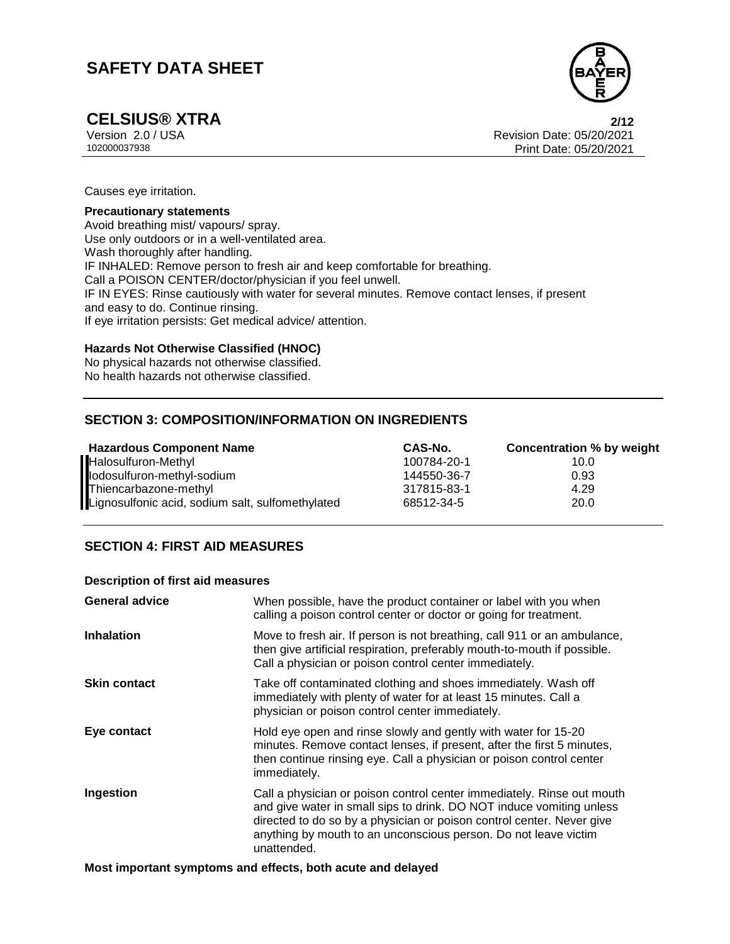

# **CELSIUS® XTRA 2/12**

Version 2.0 / USA Revision Date: 05/20/2021<br>102000037938 Print Date: 05/20/2021 Print Date: 05/20/2021

Causes eye irritation.

#### **Precautionary statements**

Avoid breathing mist/ vapours/ spray. Use only outdoors or in a well-ventilated area. Wash thoroughly after handling. IF INHALED: Remove person to fresh air and keep comfortable for breathing. Call a POISON CENTER/doctor/physician if you feel unwell. IF IN EYES: Rinse cautiously with water for several minutes. Remove contact lenses, if present and easy to do. Continue rinsing. If eye irritation persists: Get medical advice/ attention.

### **Hazards Not Otherwise Classified (HNOC)**

No physical hazards not otherwise classified. No health hazards not otherwise classified.

# **SECTION 3: COMPOSITION/INFORMATION ON INGREDIENTS**

| <b>Hazardous Component Name</b>                  | CAS-No.     | Concentration % by weight |
|--------------------------------------------------|-------------|---------------------------|
| Halosulfuron-Methyl                              | 100784-20-1 | 10.0                      |
| lodosulfuron-methyl-sodium                       | 144550-36-7 | 0.93                      |
| Thiencarbazone-methyl                            | 317815-83-1 | 4.29                      |
| Lignosulfonic acid, sodium salt, sulfomethylated | 68512-34-5  | 20.0                      |

# **SECTION 4: FIRST AID MEASURES**

#### **Description of first aid measures**

| <b>General advice</b> | When possible, have the product container or label with you when<br>calling a poison control center or doctor or going for treatment.                                                                                                                                                                     |
|-----------------------|-----------------------------------------------------------------------------------------------------------------------------------------------------------------------------------------------------------------------------------------------------------------------------------------------------------|
| <b>Inhalation</b>     | Move to fresh air. If person is not breathing, call 911 or an ambulance,<br>then give artificial respiration, preferably mouth-to-mouth if possible.<br>Call a physician or poison control center immediately.                                                                                            |
| <b>Skin contact</b>   | Take off contaminated clothing and shoes immediately. Wash off<br>immediately with plenty of water for at least 15 minutes. Call a<br>physician or poison control center immediately.                                                                                                                     |
| Eye contact           | Hold eye open and rinse slowly and gently with water for 15-20<br>minutes. Remove contact lenses, if present, after the first 5 minutes,<br>then continue rinsing eye. Call a physician or poison control center<br>immediately.                                                                          |
| Ingestion             | Call a physician or poison control center immediately. Rinse out mouth<br>and give water in small sips to drink. DO NOT induce vomiting unless<br>directed to do so by a physician or poison control center. Never give<br>anything by mouth to an unconscious person. Do not leave victim<br>unattended. |

**Most important symptoms and effects, both acute and delayed**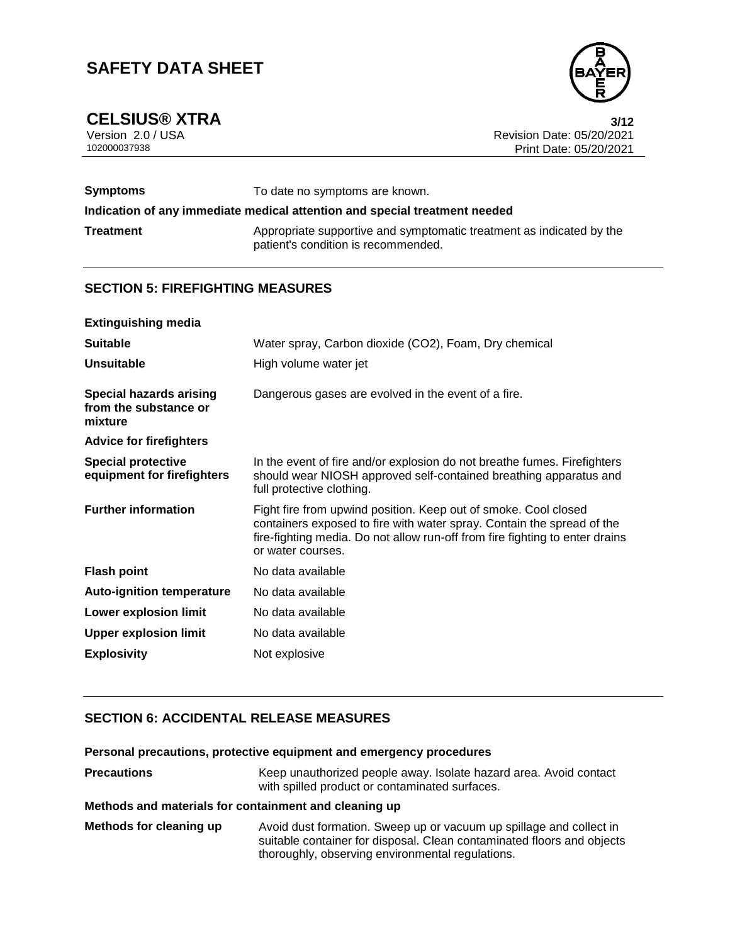**CELSIUS®** XTRA 3/12<br>Version 2.0 / USA 3/12<br>Revision Date: 05/20/2021 Version 2.0 / USA Revision Date: 05/20/2021<br>102000037938 Print Date: 05/20/2021 Print Date: 05/20/2021

| <b>Symptoms</b>                                                            | To date no symptoms are known.                                                                              |  |
|----------------------------------------------------------------------------|-------------------------------------------------------------------------------------------------------------|--|
| Indication of any immediate medical attention and special treatment needed |                                                                                                             |  |
| <b>Treatment</b>                                                           | Appropriate supportive and symptomatic treatment as indicated by the<br>patient's condition is recommended. |  |

# **SECTION 5: FIREFIGHTING MEASURES**

| <b>Extinguishing media</b>                                         |                                                                                                                                                                                                                                                |
|--------------------------------------------------------------------|------------------------------------------------------------------------------------------------------------------------------------------------------------------------------------------------------------------------------------------------|
| <b>Suitable</b>                                                    | Water spray, Carbon dioxide (CO2), Foam, Dry chemical                                                                                                                                                                                          |
| <b>Unsuitable</b>                                                  | High volume water jet                                                                                                                                                                                                                          |
| <b>Special hazards arising</b><br>from the substance or<br>mixture | Dangerous gases are evolved in the event of a fire.                                                                                                                                                                                            |
| <b>Advice for firefighters</b>                                     |                                                                                                                                                                                                                                                |
| <b>Special protective</b><br>equipment for firefighters            | In the event of fire and/or explosion do not breathe fumes. Firefighters<br>should wear NIOSH approved self-contained breathing apparatus and<br>full protective clothing.                                                                     |
| <b>Further information</b>                                         | Fight fire from upwind position. Keep out of smoke. Cool closed<br>containers exposed to fire with water spray. Contain the spread of the<br>fire-fighting media. Do not allow run-off from fire fighting to enter drains<br>or water courses. |
| <b>Flash point</b>                                                 | No data available                                                                                                                                                                                                                              |
| <b>Auto-ignition temperature</b>                                   | No data available                                                                                                                                                                                                                              |
| Lower explosion limit                                              | No data available                                                                                                                                                                                                                              |
| <b>Upper explosion limit</b>                                       | No data available                                                                                                                                                                                                                              |
| <b>Explosivity</b>                                                 | Not explosive                                                                                                                                                                                                                                  |

# **SECTION 6: ACCIDENTAL RELEASE MEASURES**

**Personal precautions, protective equipment and emergency procedures**

| <b>Precautions</b> | Keep unauthorized people away. Isolate hazard area. Avoid contact |
|--------------------|-------------------------------------------------------------------|
|                    | with spilled product or contaminated surfaces.                    |

## **Methods and materials for containment and cleaning up**

**Methods for cleaning up** Avoid dust formation. Sweep up or vacuum up spillage and collect in suitable container for disposal. Clean contaminated floors and objects thoroughly, observing environmental regulations.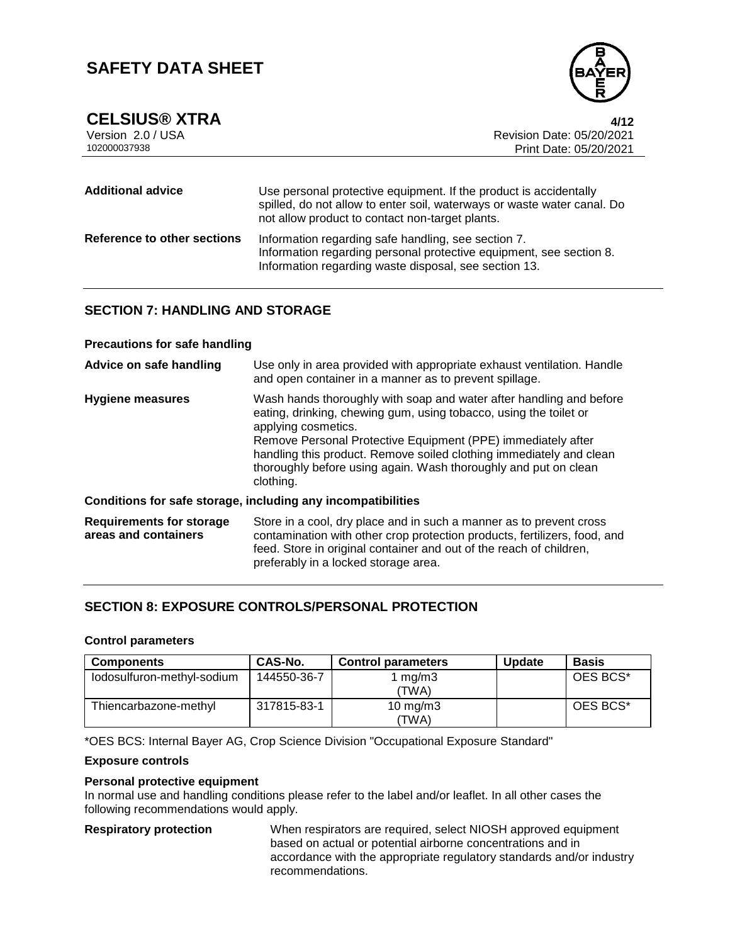

| <b>Additional advice</b>    | Use personal protective equipment. If the product is accidentally<br>spilled, do not allow to enter soil, waterways or waste water canal. Do<br>not allow product to contact non-target plants. |
|-----------------------------|-------------------------------------------------------------------------------------------------------------------------------------------------------------------------------------------------|
| Reference to other sections | Information regarding safe handling, see section 7.<br>Information regarding personal protective equipment, see section 8.<br>Information regarding waste disposal, see section 13.             |

# **SECTION 7: HANDLING AND STORAGE**

### **Precautions for safe handling**

| Advice on safe handling                                 | Use only in area provided with appropriate exhaust ventilation. Handle<br>and open container in a manner as to prevent spillage.                                                                                                                                                                                                                                                       |
|---------------------------------------------------------|----------------------------------------------------------------------------------------------------------------------------------------------------------------------------------------------------------------------------------------------------------------------------------------------------------------------------------------------------------------------------------------|
| <b>Hygiene measures</b>                                 | Wash hands thoroughly with soap and water after handling and before<br>eating, drinking, chewing gum, using tobacco, using the toilet or<br>applying cosmetics.<br>Remove Personal Protective Equipment (PPE) immediately after<br>handling this product. Remove soiled clothing immediately and clean<br>thoroughly before using again. Wash thoroughly and put on clean<br>clothing. |
|                                                         | Conditions for safe storage, including any incompatibilities                                                                                                                                                                                                                                                                                                                           |
| <b>Requirements for storage</b><br>areas and containers | Store in a cool, dry place and in such a manner as to prevent cross<br>contamination with other crop protection products, fertilizers, food, and<br>feed. Store in original container and out of the reach of children,<br>preferably in a locked storage area.                                                                                                                        |

# **SECTION 8: EXPOSURE CONTROLS/PERSONAL PROTECTION**

### **Control parameters**

| <b>Components</b>          | CAS-No.     | <b>Control parameters</b> | <b>Update</b> | <b>Basis</b> |
|----------------------------|-------------|---------------------------|---------------|--------------|
| lodosulfuron-methyl-sodium | 144550-36-7 | 1 mg/m $3$<br>'TWA)       |               | OES BCS*     |
| Thiencarbazone-methyl      | 317815-83-1 | 10 mg/m $3$<br>'TWA)      |               | OES BCS*     |

\*OES BCS: Internal Bayer AG, Crop Science Division "Occupational Exposure Standard"

## **Exposure controls**

## **Personal protective equipment**

In normal use and handling conditions please refer to the label and/or leaflet. In all other cases the following recommendations would apply.

**Respiratory protection** When respirators are required, select NIOSH approved equipment based on actual or potential airborne concentrations and in accordance with the appropriate regulatory standards and/or industry recommendations.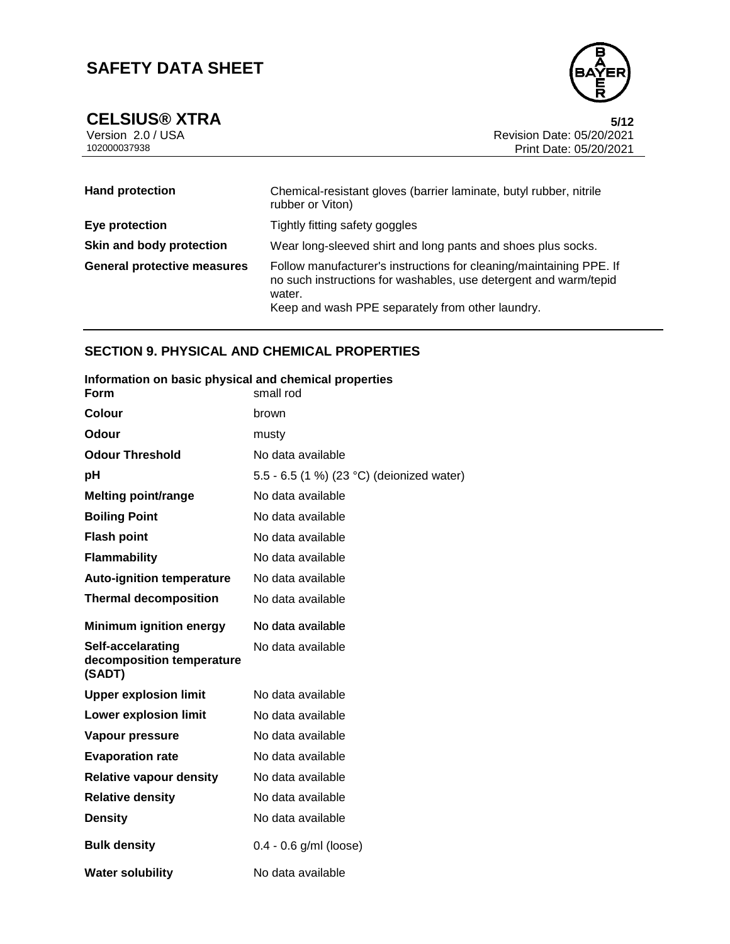

**CELSIUS®** XTRA 5/12<br>Version 2.0 / USA 5/12<br>Revision Date: 05/20/2021 Version 2.0 / USA Revision Date: 05/20/2021<br>102000037938 Print Date: 05/20/2021 Print Date: 05/20/2021

| <b>Hand protection</b>             | Chemical-resistant gloves (barrier laminate, butyl rubber, nitrile<br>rubber or Viton)                                                                                                                |  |  |
|------------------------------------|-------------------------------------------------------------------------------------------------------------------------------------------------------------------------------------------------------|--|--|
| Eye protection                     | Tightly fitting safety goggles                                                                                                                                                                        |  |  |
| Skin and body protection           | Wear long-sleeved shirt and long pants and shoes plus socks.                                                                                                                                          |  |  |
| <b>General protective measures</b> | Follow manufacturer's instructions for cleaning/maintaining PPE. If<br>no such instructions for washables, use detergent and warm/tepid<br>water.<br>Keep and wash PPE separately from other laundry. |  |  |

## **SECTION 9. PHYSICAL AND CHEMICAL PROPERTIES**

| Information on basic physical and chemical properties<br>Form | small rod                                 |
|---------------------------------------------------------------|-------------------------------------------|
| Colour                                                        | brown                                     |
| Odour                                                         | musty                                     |
| <b>Odour Threshold</b>                                        | No data available                         |
| рH                                                            | 5.5 - 6.5 (1 %) (23 °C) (deionized water) |
| <b>Melting point/range</b>                                    | No data available                         |
| <b>Boiling Point</b>                                          | No data available                         |
| <b>Flash point</b>                                            | No data available                         |
| <b>Flammability</b>                                           | No data available                         |
| <b>Auto-ignition temperature</b>                              | No data available                         |
| <b>Thermal decomposition</b>                                  | No data available                         |
| <b>Minimum ignition energy</b>                                | No data available                         |
| Self-accelarating<br>decomposition temperature<br>(SADT)      | No data available                         |
| <b>Upper explosion limit</b>                                  | No data available                         |
| <b>Lower explosion limit</b>                                  | No data available                         |
| Vapour pressure                                               | No data available                         |
| <b>Evaporation rate</b>                                       | No data available                         |
| <b>Relative vapour density</b>                                | No data available                         |
| <b>Relative density</b>                                       | No data available                         |
| <b>Density</b>                                                | No data available                         |
| <b>Bulk density</b>                                           | $0.4 - 0.6$ g/ml (loose)                  |
| <b>Water solubility</b>                                       | No data available                         |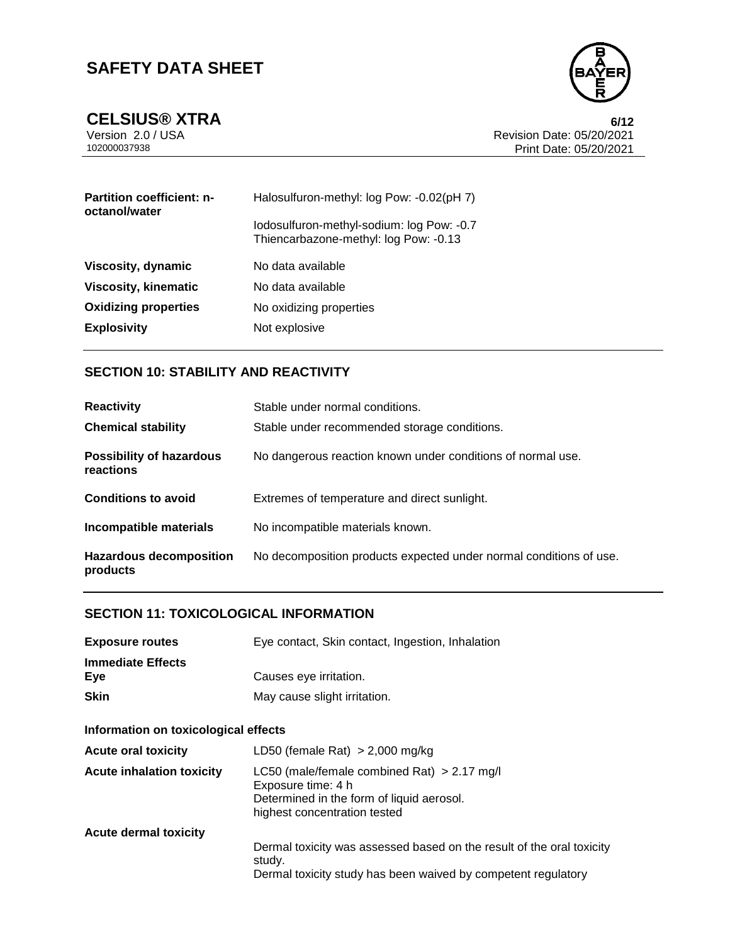



**CELSIUS®** XTRA 6/12<br>Version 2.0 / USA 6/12<br>Revision Date: 05/20/2021 Version 2.0 / USA Revision Date: 05/20/2021<br>102000037938 Print Date: 05/20/2021 Print Date: 05/20/2021

| <b>Partition coefficient: n-</b><br>octanol/water | Halosulfuron-methyl: log Pow: -0.02(pH 7)                                          |  |
|---------------------------------------------------|------------------------------------------------------------------------------------|--|
|                                                   | lodosulfuron-methyl-sodium: log Pow: -0.7<br>Thiencarbazone-methyl: log Pow: -0.13 |  |
| <b>Viscosity, dynamic</b>                         | No data available                                                                  |  |
| <b>Viscosity, kinematic</b>                       | No data available                                                                  |  |
| <b>Oxidizing properties</b>                       | No oxidizing properties                                                            |  |
| <b>Explosivity</b>                                | Not explosive                                                                      |  |

## **SECTION 10: STABILITY AND REACTIVITY**

| <b>Reactivity</b>                            | Stable under normal conditions.                                    |
|----------------------------------------------|--------------------------------------------------------------------|
| <b>Chemical stability</b>                    | Stable under recommended storage conditions.                       |
| <b>Possibility of hazardous</b><br>reactions | No dangerous reaction known under conditions of normal use.        |
| <b>Conditions to avoid</b>                   | Extremes of temperature and direct sunlight.                       |
| Incompatible materials                       | No incompatible materials known.                                   |
| <b>Hazardous decomposition</b><br>products   | No decomposition products expected under normal conditions of use. |

## **SECTION 11: TOXICOLOGICAL INFORMATION**

| <b>Exposure routes</b>          | Eye contact, Skin contact, Ingestion, Inhalation |
|---------------------------------|--------------------------------------------------|
| <b>Immediate Effects</b><br>Eve | Causes eye irritation.                           |
| <b>Skin</b>                     | May cause slight irritation.                     |

# **Information on toxicological effects**

| <b>Acute oral toxicity</b>       | LD50 (female Rat) $> 2,000$ mg/kg                                                                                                                |
|----------------------------------|--------------------------------------------------------------------------------------------------------------------------------------------------|
| <b>Acute inhalation toxicity</b> | LC50 (male/female combined Rat) $> 2.17$ mg/l<br>Exposure time: 4 h<br>Determined in the form of liquid aerosol.<br>highest concentration tested |
| <b>Acute dermal toxicity</b>     |                                                                                                                                                  |
|                                  | Dermal toxicity was assessed based on the result of the oral toxicity<br>study.<br>Dermal toxicity study has been waived by competent regulatory |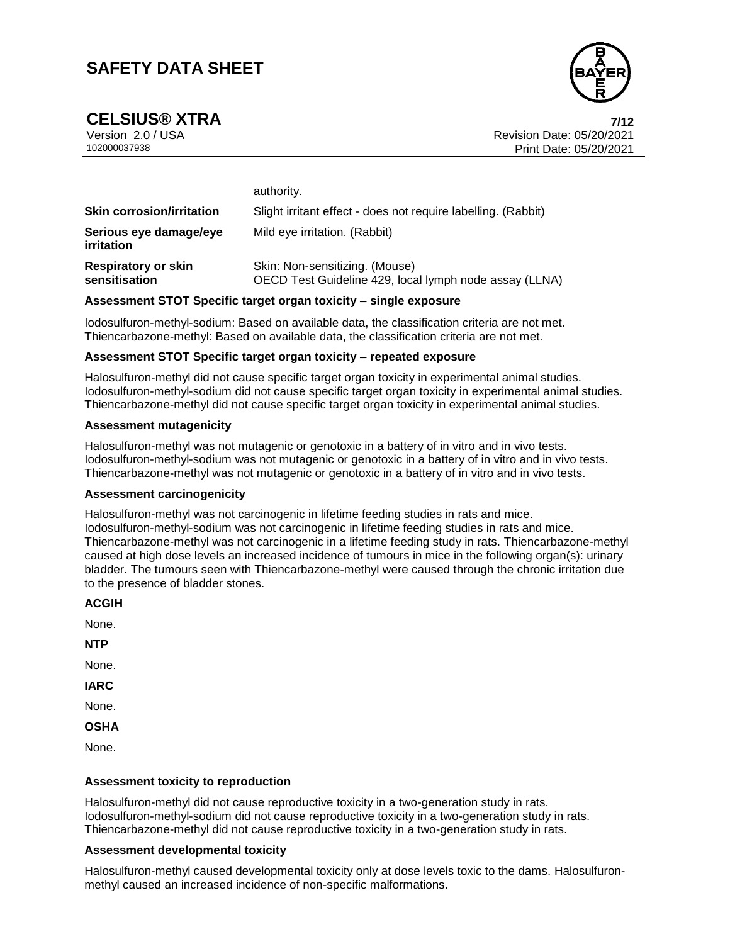

**CELSIUS® XTRA 7/12**

Version 2.0 / USA Revision Date: 05/20/2021 102000037938 Print Date: 05/20/2021

|                                             | authority.                                                                               |  |
|---------------------------------------------|------------------------------------------------------------------------------------------|--|
| <b>Skin corrosion/irritation</b>            | Slight irritant effect - does not require labelling. (Rabbit)                            |  |
| Serious eye damage/eye<br><i>irritation</i> | Mild eye irritation. (Rabbit)                                                            |  |
| <b>Respiratory or skin</b><br>sensitisation | Skin: Non-sensitizing. (Mouse)<br>OECD Test Guideline 429, local lymph node assay (LLNA) |  |

### **Assessment STOT Specific target organ toxicity – single exposure**

Iodosulfuron-methyl-sodium: Based on available data, the classification criteria are not met. Thiencarbazone-methyl: Based on available data, the classification criteria are not met.

#### **Assessment STOT Specific target organ toxicity – repeated exposure**

Halosulfuron-methyl did not cause specific target organ toxicity in experimental animal studies. Iodosulfuron-methyl-sodium did not cause specific target organ toxicity in experimental animal studies. Thiencarbazone-methyl did not cause specific target organ toxicity in experimental animal studies.

#### **Assessment mutagenicity**

Halosulfuron-methyl was not mutagenic or genotoxic in a battery of in vitro and in vivo tests. Iodosulfuron-methyl-sodium was not mutagenic or genotoxic in a battery of in vitro and in vivo tests. Thiencarbazone-methyl was not mutagenic or genotoxic in a battery of in vitro and in vivo tests.

#### **Assessment carcinogenicity**

Halosulfuron-methyl was not carcinogenic in lifetime feeding studies in rats and mice. Iodosulfuron-methyl-sodium was not carcinogenic in lifetime feeding studies in rats and mice. Thiencarbazone-methyl was not carcinogenic in a lifetime feeding study in rats. Thiencarbazone-methyl caused at high dose levels an increased incidence of tumours in mice in the following organ(s): urinary bladder. The tumours seen with Thiencarbazone-methyl were caused through the chronic irritation due to the presence of bladder stones.

| M<br>v<br>۰, |
|--------------|
|--------------|

None.

**NTP**

None.

**IARC**

None.

**OSHA**

None.

### **Assessment toxicity to reproduction**

Halosulfuron-methyl did not cause reproductive toxicity in a two-generation study in rats. Iodosulfuron-methyl-sodium did not cause reproductive toxicity in a two-generation study in rats. Thiencarbazone-methyl did not cause reproductive toxicity in a two-generation study in rats.

### **Assessment developmental toxicity**

Halosulfuron-methyl caused developmental toxicity only at dose levels toxic to the dams. Halosulfuronmethyl caused an increased incidence of non-specific malformations.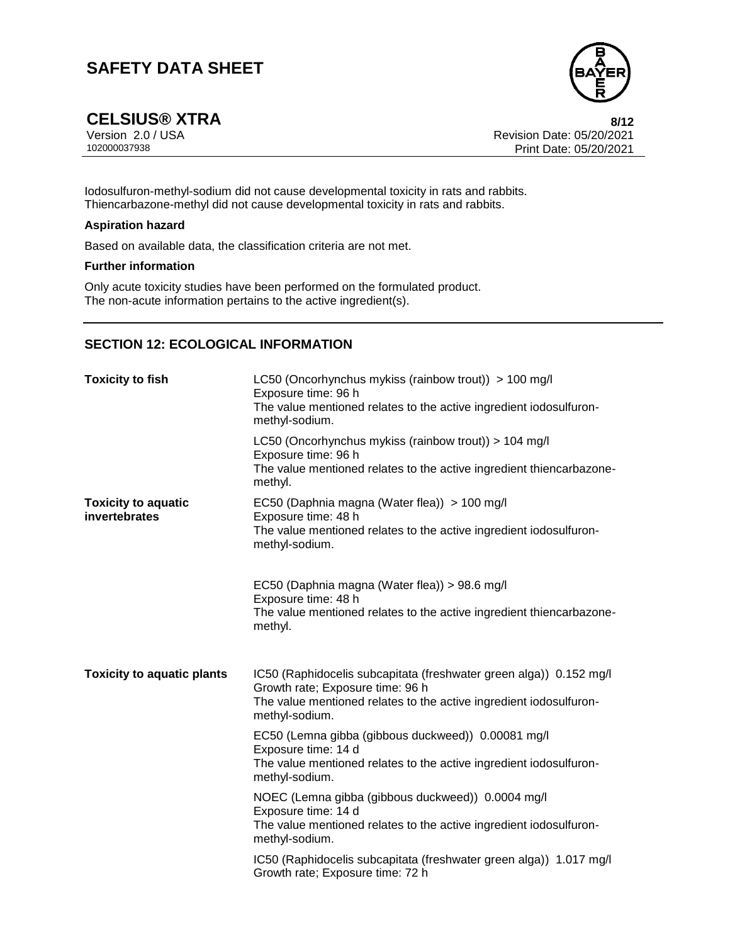

**CELSIUS®** XTRA 8/12<br>Version 2.0 / USA 8/12<br>Revision Date: 05/20/2021 Version 2.0 / USA Revision Date: 05/20/2021<br>102000037938 Print Date: 05/20/2021 Print Date: 05/20/2021

Iodosulfuron-methyl-sodium did not cause developmental toxicity in rats and rabbits. Thiencarbazone-methyl did not cause developmental toxicity in rats and rabbits.

### **Aspiration hazard**

Based on available data, the classification criteria are not met.

#### **Further information**

Only acute toxicity studies have been performed on the formulated product. The non-acute information pertains to the active ingredient(s).

# **SECTION 12: ECOLOGICAL INFORMATION**

| <b>Toxicity to fish</b>                     | LC50 (Oncorhynchus mykiss (rainbow trout)) > 100 mg/l<br>Exposure time: 96 h<br>The value mentioned relates to the active ingredient iodosulfuron-<br>methyl-sodium.                           |  |
|---------------------------------------------|------------------------------------------------------------------------------------------------------------------------------------------------------------------------------------------------|--|
|                                             | LC50 (Oncorhynchus mykiss (rainbow trout)) > 104 mg/l<br>Exposure time: 96 h<br>The value mentioned relates to the active ingredient thiencarbazone-<br>methyl.                                |  |
| <b>Toxicity to aquatic</b><br>invertebrates | EC50 (Daphnia magna (Water flea)) > 100 mg/l<br>Exposure time: 48 h<br>The value mentioned relates to the active ingredient iodosulfuron-<br>methyl-sodium.                                    |  |
|                                             | EC50 (Daphnia magna (Water flea)) > 98.6 mg/l<br>Exposure time: 48 h<br>The value mentioned relates to the active ingredient thiencarbazone-<br>methyl.                                        |  |
| <b>Toxicity to aquatic plants</b>           | IC50 (Raphidocelis subcapitata (freshwater green alga)) 0.152 mg/l<br>Growth rate; Exposure time: 96 h<br>The value mentioned relates to the active ingredient iodosulfuron-<br>methyl-sodium. |  |
|                                             | EC50 (Lemna gibba (gibbous duckweed)) 0.00081 mg/l<br>Exposure time: 14 d<br>The value mentioned relates to the active ingredient iodosulfuron-<br>methyl-sodium.                              |  |
|                                             | NOEC (Lemna gibba (gibbous duckweed)) 0.0004 mg/l<br>Exposure time: 14 d<br>The value mentioned relates to the active ingredient iodosulfuron-<br>methyl-sodium.                               |  |
|                                             | IC50 (Raphidocelis subcapitata (freshwater green alga)) 1.017 mg/l<br>Growth rate; Exposure time: 72 h                                                                                         |  |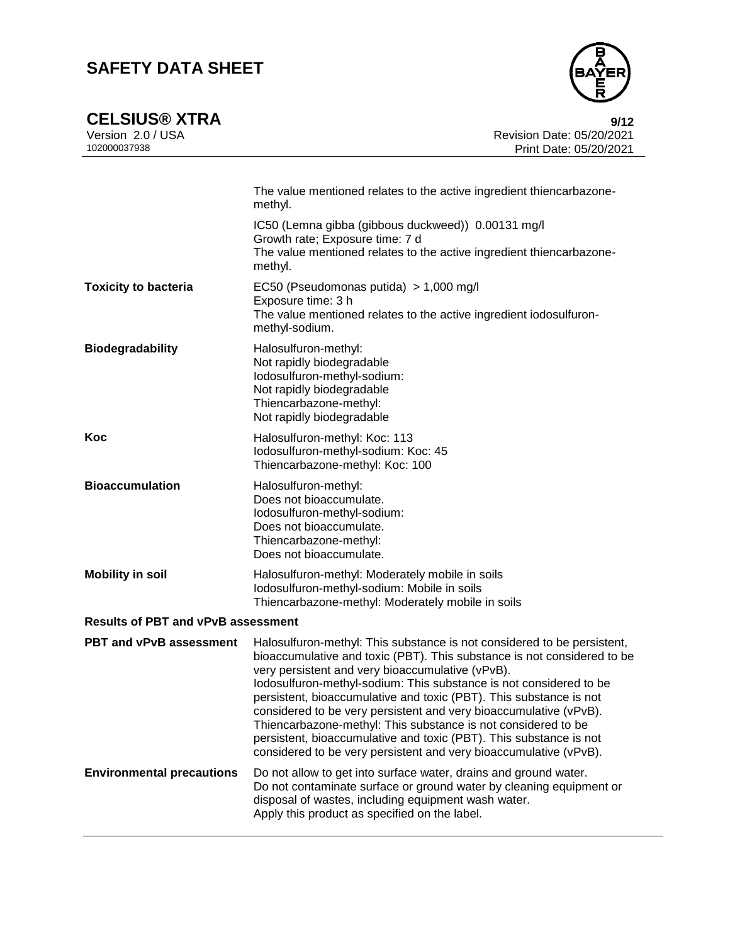

**CELSIUS®** XTRA 9/12<br>Version 2.0 / USA 9/12<br>Revision Date: 05/20/2021 Version 2.0 / USA Revision Date: 05/20/2021<br>102000037938 Print Date: 05/20/2021 Print Date: 05/20/2021

|                                           | The value mentioned relates to the active ingredient thiencarbazone-<br>methyl.                                                                                                                                                                                                                                                                                                                                                                                                                                                                                                                                                     |
|-------------------------------------------|-------------------------------------------------------------------------------------------------------------------------------------------------------------------------------------------------------------------------------------------------------------------------------------------------------------------------------------------------------------------------------------------------------------------------------------------------------------------------------------------------------------------------------------------------------------------------------------------------------------------------------------|
|                                           | IC50 (Lemna gibba (gibbous duckweed)) 0.00131 mg/l<br>Growth rate; Exposure time: 7 d<br>The value mentioned relates to the active ingredient thiencarbazone-<br>methyl.                                                                                                                                                                                                                                                                                                                                                                                                                                                            |
| <b>Toxicity to bacteria</b>               | EC50 (Pseudomonas putida) > 1,000 mg/l<br>Exposure time: 3 h<br>The value mentioned relates to the active ingredient iodosulfuron-<br>methyl-sodium.                                                                                                                                                                                                                                                                                                                                                                                                                                                                                |
| <b>Biodegradability</b>                   | Halosulfuron-methyl:<br>Not rapidly biodegradable<br>lodosulfuron-methyl-sodium:<br>Not rapidly biodegradable<br>Thiencarbazone-methyl:<br>Not rapidly biodegradable                                                                                                                                                                                                                                                                                                                                                                                                                                                                |
| Koc                                       | Halosulfuron-methyl: Koc: 113<br>Iodosulfuron-methyl-sodium: Koc: 45<br>Thiencarbazone-methyl: Koc: 100                                                                                                                                                                                                                                                                                                                                                                                                                                                                                                                             |
| <b>Bioaccumulation</b>                    | Halosulfuron-methyl:<br>Does not bioaccumulate.<br>lodosulfuron-methyl-sodium:<br>Does not bioaccumulate.<br>Thiencarbazone-methyl:<br>Does not bioaccumulate.                                                                                                                                                                                                                                                                                                                                                                                                                                                                      |
| <b>Mobility in soil</b>                   | Halosulfuron-methyl: Moderately mobile in soils<br>Iodosulfuron-methyl-sodium: Mobile in soils<br>Thiencarbazone-methyl: Moderately mobile in soils                                                                                                                                                                                                                                                                                                                                                                                                                                                                                 |
| <b>Results of PBT and vPvB assessment</b> |                                                                                                                                                                                                                                                                                                                                                                                                                                                                                                                                                                                                                                     |
| PBT and vPvB assessment                   | Halosulfuron-methyl: This substance is not considered to be persistent,<br>bioaccumulative and toxic (PBT). This substance is not considered to be<br>very persistent and very bioaccumulative (vPvB).<br>lodosulfuron-methyl-sodium: This substance is not considered to be<br>persistent, bioaccumulative and toxic (PBT). This substance is not<br>considered to be very persistent and very bioaccumulative (vPvB).<br>Thiencarbazone-methyl: This substance is not considered to be<br>persistent, bioaccumulative and toxic (PBT). This substance is not<br>considered to be very persistent and very bioaccumulative (vPvB). |
| <b>Environmental precautions</b>          | Do not allow to get into surface water, drains and ground water.<br>Do not contaminate surface or ground water by cleaning equipment or<br>disposal of wastes, including equipment wash water.<br>Apply this product as specified on the label.                                                                                                                                                                                                                                                                                                                                                                                     |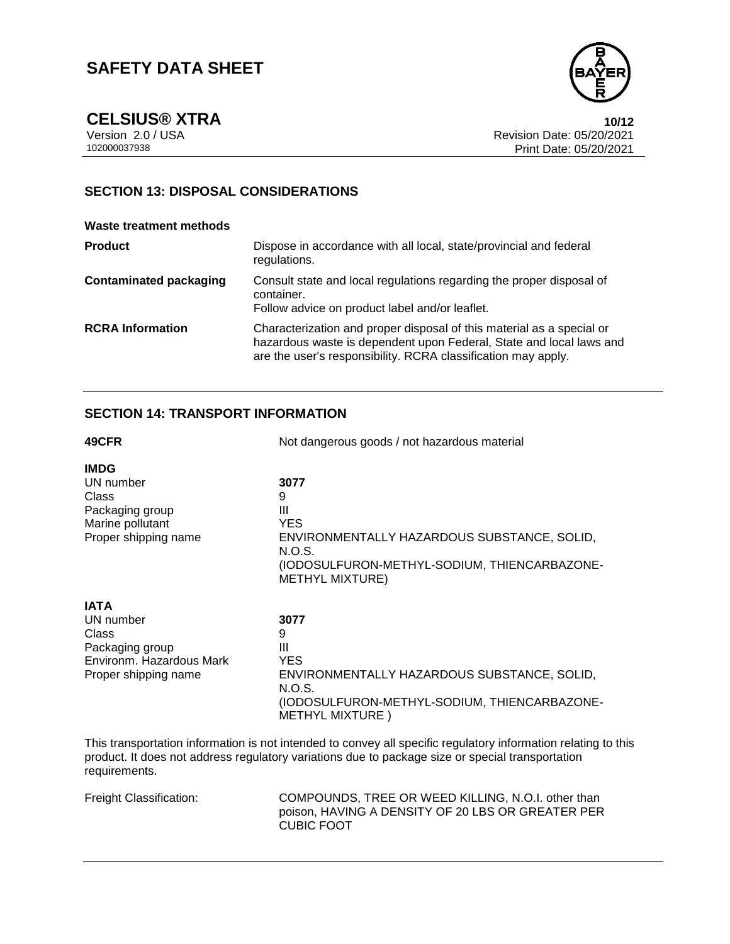

**CELSIUS®** XTRA 10/12<br>Version 2.0 / USA 10/12<br>Revision Date: 05/20/2021 Version 2.0 / USA Revision Date: 05/20/2021<br>102000037938 Print Date: 05/20/2021 Print Date: 05/20/2021

# **SECTION 13: DISPOSAL CONSIDERATIONS**

#### **Waste treatment methods**

| <b>Product</b>                | Dispose in accordance with all local, state/provincial and federal<br>regulations.                                                                                                                            |
|-------------------------------|---------------------------------------------------------------------------------------------------------------------------------------------------------------------------------------------------------------|
| <b>Contaminated packaging</b> | Consult state and local regulations regarding the proper disposal of<br>container.<br>Follow advice on product label and/or leaflet.                                                                          |
| <b>RCRA Information</b>       | Characterization and proper disposal of this material as a special or<br>hazardous waste is dependent upon Federal, State and local laws and<br>are the user's responsibility. RCRA classification may apply. |

# **SECTION 14: TRANSPORT INFORMATION**

| 49CFR                                                                                                    | Not dangerous goods / not hazardous material                                                                                                                                                                       |  |
|----------------------------------------------------------------------------------------------------------|--------------------------------------------------------------------------------------------------------------------------------------------------------------------------------------------------------------------|--|
| <b>IMDG</b><br>UN number<br>Class<br>Packaging group<br>Marine pollutant<br>Proper shipping name         | 3077<br>9<br>Ш<br><b>YES</b><br>ENVIRONMENTALLY HAZARDOUS SUBSTANCE, SOLID,<br>N.O.S.<br>(IODOSULFURON-METHYL-SODIUM, THIENCARBAZONE-<br><b>METHYL MIXTURE)</b>                                                    |  |
| <b>IATA</b><br>UN number<br>Class<br>Packaging group<br>Environm. Hazardous Mark<br>Proper shipping name | 3077<br>9<br>Ш<br><b>YES</b><br>ENVIRONMENTALLY HAZARDOUS SUBSTANCE, SOLID,<br>N.O.S.<br>(IODOSULFURON-METHYL-SODIUM, THIENCARBAZONE-<br><b>METHYL MIXTURE</b> )                                                   |  |
|                                                                                                          | This transportation information is not intended to convey all specific regulatory information relating to this<br>product. It does not address regulatory variations due to package size or special transportation |  |

requirements.

| Freight Classification: | COMPOUNDS, TREE OR WEED KILLING, N.O.I. other than |
|-------------------------|----------------------------------------------------|
|                         | poison, HAVING A DENSITY OF 20 LBS OR GREATER PER  |
|                         | <b>CUBIC FOOT</b>                                  |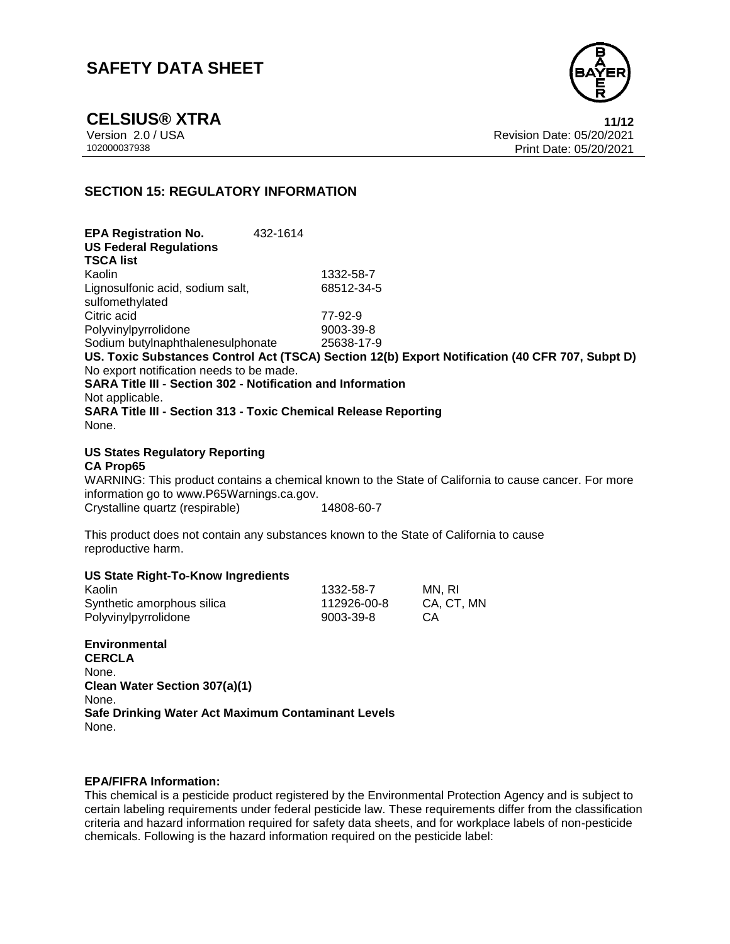

**CELSIUS®** XTRA **11/12**<br>Version 2.0 / USA **11/12**<br>Revision Date: 05/20/2021 Revision Date: 05/20/2021 102000037938 Print Date: 05/20/2021

## **SECTION 15: REGULATORY INFORMATION**

**EPA Registration No.** 432-1614 **US Federal Regulations TSCA list** Kaolin 1332-58-7 Lignosulfonic acid, sodium salt, sulfomethylated 68512-34-5 Citric acid<br>
Polyvinylpyrrolidone<br>
2003-39-8<br>
Polyvinylpyrrolidone Polyvinylpyrrolidone Sodium butylnaphthalenesulphonate 25638-17-9 **US. Toxic Substances Control Act (TSCA) Section 12(b) Export Notification (40 CFR 707, Subpt D)** No export notification needs to be made. **SARA Title III - Section 302 - Notification and Information** Not applicable. **SARA Title III - Section 313 - Toxic Chemical Release Reporting** None.

### **US States Regulatory Reporting**

#### **CA Prop65**

WARNING: This product contains a chemical known to the State of California to cause cancer. For more information go to www.P65Warnings.ca.gov. Crystalline quartz (respirable) 14808-60-7

This product does not contain any substances known to the State of California to cause reproductive harm.

#### **US State Right-To-Know Ingredients**

| Kaolin                     | 1332-58-7   | MN. RI     |
|----------------------------|-------------|------------|
| Synthetic amorphous silica | 112926-00-8 | CA, CT, MN |
| Polyvinylpyrrolidone       | 9003-39-8   | CA.        |

**Environmental CERCLA** None. **Clean Water Section 307(a)(1)** None. **Safe Drinking Water Act Maximum Contaminant Levels**

None.

### **EPA/FIFRA Information:**

This chemical is a pesticide product registered by the Environmental Protection Agency and is subject to certain labeling requirements under federal pesticide law. These requirements differ from the classification criteria and hazard information required for safety data sheets, and for workplace labels of non-pesticide chemicals. Following is the hazard information required on the pesticide label: